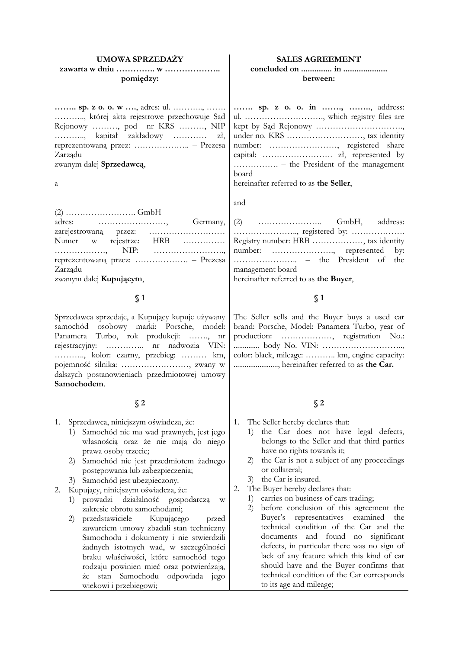#### **UMOWA SPRZEDAŻY**

### **zawarta w dniu ………….. w ……………….. pomiędzy:**

**…….. sp. z o. o. w ….**, adres: ul. ……….., ……. ……….., której akta rejestrowe przechowuje Sąd Rejonowy ………, pod nr KRS ………, NIP ……….., kapitał zakładowy ………… zł, reprezentowaną przez: ……………….. – Prezesa Zarządu

zwanym dalej **Sprzedawcą**,

a

(2) ……………………. GmbH adres: ……………………, Germany, zarejestrowaną przez: ……………………… Numer w rejestrze: HRB …………… ………………, NIP: ……………………., reprezentowaną przez: ………………. – Prezesa Zarządu

zwanym dalej **Kupującym**,

### **§ 1**

Sprzedawca sprzedaje, a Kupujący kupuje używany samochód osobowy marki: Porsche, model: Panamera Turbo, rok produkcji: ……., nr rejestracyjny: …………., nr nadwozia VIN: ……….., kolor: czarny, przebieg: ……… km, pojemność silnika: ……………………, zwany w dalszych postanowieniach przedmiotowej umowy **Samochodem**.

#### **§ 2**

- 1. Sprzedawca, niniejszym oświadcza, że:
	- 1) Samochód nie ma wad prawnych, jest jego własnością oraz że nie mają do niego prawa osoby trzecie;
	- 2) Samochód nie jest przedmiotem żadnego postępowania lub zabezpieczenia;
	- 3) Samochód jest ubezpieczony.

2. Kupujący, niniejszym oświadcza, że:

- 1) prowadzi działalność gospodarczą w zakresie obrotu samochodami;
- 2) przedstawiciele Kupującego przed zawarciem umowy zbadali stan techniczny Samochodu i dokumenty i nie stwierdzili żadnych istotnych wad, w szczególności braku właściwości, które samochód tego rodzaju powinien mieć oraz potwierdzają, że stan Samochodu odpowiada jego wiekowi i przebiegowi;

#### **SALES AGREEMENT**

#### **concluded on .............. in .................... between:**

**……. sp. z o. o. in ……., ……..**, address: ul. ………………………., which registry files are kept by Sąd Rejonowy …………………………., under no. KRS ………………………, tax identity number: ……………………, registered share capital: ……………………. zł, represented by ……………. – the President of the management board

hereinafter referred to as **the Seller**,

and

|                  |  |  | Registry number: HRB , tax identity |  |
|------------------|--|--|-------------------------------------|--|
|                  |  |  | number: , represented by:           |  |
|                  |  |  |                                     |  |
| management board |  |  |                                     |  |
| .                |  |  |                                     |  |

hereinafter referred to as **the Buyer**,

#### **§ 1**

The Seller sells and the Buyer buys a used car brand: Porsche, Model: Panamera Turbo, year of production: ………………, registration No.: ............., body No. VIN: ……………………….., color: black, mileage: ……….. km, engine capacity: ........................, hereinafter referred to as **the Car.**

### **§ 2**

- 1. The Seller hereby declares that:
	- 1) the Car does not have legal defects, belongs to the Seller and that third parties have no rights towards it;
	- 2) the Car is not a subject of any proceedings or collateral;
	- 3) the Car is insured.
- 2. The Buyer hereby declares that:
	- 1) carries on business of cars trading;
	- 2) before conclusion of this agreement the Buyer's representatives examined the technical condition of the Car and the documents and found no significant defects, in particular there was no sign of lack of any feature which this kind of car should have and the Buyer confirms that technical condition of the Car corresponds to its age and mileage;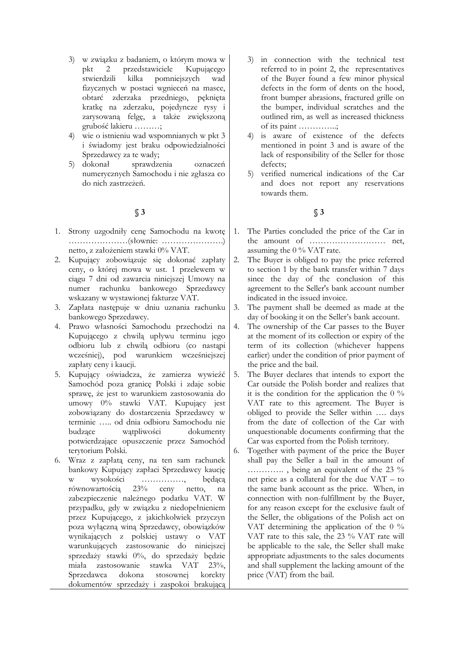- 3) w związku z badaniem, o którym mowa w pkt 2 przedstawiciele Kupującego stwierdzili kilka pomniejszych wad fizycznych w postaci wgnieceń na masce, obtarć zderzaka przedniego, pęknięta kratkę na zderzaku, pojedyncze rysy i zarysowaną felgę, a także zwiększoną grubość lakieru ………;
- 4) wie o istnieniu wad wspomnianych w pkt 3 i świadomy jest braku odpowiedzialności Sprzedawcy za te wady;
- 5) dokonał sprawdzenia oznaczeń numerycznych Samochodu i nie zgłasza co do nich zastrzeżeń.

## **§ 3**

- 1. Strony uzgodniły cenę Samochodu na kwotę …………………(słownie: ………………….) netto, z założeniem stawki 0% VAT.
- 2. Kupujący zobowiązuje się dokonać zapłaty ceny, o której mowa w ust. 1 przelewem w ciągu 7 dni od zawarcia niniejszej Umowy na numer rachunku bankowego Sprzedawcy wskazany w wystawionej fakturze VAT.
- 3. Zapłata następuje w dniu uznania rachunku bankowego Sprzedawcy.
- 4. Prawo własności Samochodu przechodzi na Kupującego z chwilą upływu terminu jego odbioru lub z chwilą odbioru (co nastąpi wcześniej), pod warunkiem wcześniejszej zapłaty ceny i kaucji.
- 5. Kupujący oświadcza, że zamierza wywieźć Samochód poza granicę Polski i zdaje sobie sprawę, że jest to warunkiem zastosowania do umowy 0% stawki VAT. Kupujący jest zobowiązany do dostarczenia Sprzedawcy w terminie ….. od dnia odbioru Samochodu nie budzące wątpliwości dokumenty potwierdzające opuszczenie przez Samochód terytorium Polski.
- 6. Wraz z zapłatą ceny, na ten sam rachunek bankowy Kupujący zapłaci Sprzedawcy kaucję w wysokości ……………, będącą równowartością 23% ceny netto, na zabezpieczenie należnego podatku VAT. W przypadku, gdy w związku z niedopełnieniem przez Kupującego, z jakichkolwiek przyczyn poza wyłączną winą Sprzedawcy, obowiązków wynikających z polskiej ustawy o VAT warunkujących zastosowanie do niniejszej sprzedaży stawki 0%, do sprzedaży będzie miała zastosowanie stawka VAT 23%, Sprzedawca dokona stosownej korekty dokumentów sprzedaży i zaspokoi brakującą
- 3) in connection with the technical test referred to in point 2, the representatives of the Buyer found a few minor physical defects in the form of dents on the hood, front bumper abrasions, fractured grille on the bumper, individual scratches and the outlined rim, as well as increased thickness of its paint …………..;
- 4) is aware of existence of the defects mentioned in point 3 and is aware of the lack of responsibility of the Seller for those defects;
- 5) verified numerical indications of the Car and does not report any reservations towards them.

## **§ 3**

- 1. The Parties concluded the price of the Car in the amount of ……………………… net, assuming the 0 % VAT rate.
- 2. The Buyer is obliged to pay the price referred to section 1 by the bank transfer within 7 days since the day of the conclusion of this agreement to the Seller's bank account number indicated in the issued invoice.
- 3. The payment shall be deemed as made at the day of booking it on the Seller's bank account.
- 4. The ownership of the Car passes to the Buyer at the moment of its collection or expiry of the term of its collection (whichever happens earlier) under the condition of prior payment of the price and the bail.
- 5. The Buyer declares that intends to export the Car outside the Polish border and realizes that it is the condition for the application the  $0\%$ VAT rate to this agreement. The Buyer is obliged to provide the Seller within …. days from the date of collection of the Car with unquestionable documents confirming that the Car was exported from the Polish territory.
- 6. Together with payment of the price the Buyer shall pay the Seller a bail in the amount of …………. , being an equivalent of the 23 % net price as a collateral for the due VAT – to the same bank account as the price. When, in connection with non-fulfillment by the Buyer, for any reason except for the exclusive fault of the Seller, the obligations of the Polish act on VAT determining the application of the 0 % VAT rate to this sale, the 23 % VAT rate will be applicable to the sale, the Seller shall make appropriate adjustments to the sales documents and shall supplement the lacking amount of the price (VAT) from the bail.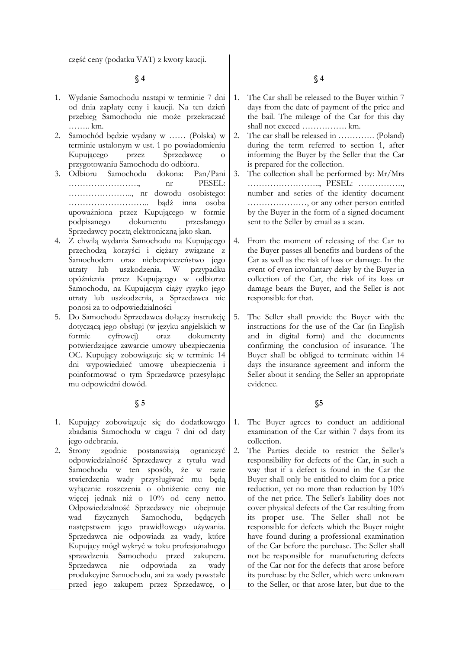część ceny (podatku VAT) z kwoty kaucji.

**§ 4**

- 1. Wydanie Samochodu nastąpi w terminie 7 dni od dnia zapłaty ceny i kaucji. Na ten dzień przebieg Samochodu nie może przekraczać …….. km.
- 2. Samochód będzie wydany w …… (Polska) w terminie ustalonym w ust. 1 po powiadomieniu Kupującego przez Sprzedawcę o przygotowaniu Samochodu do odbioru.
- 3. Odbioru Samochodu dokona: Pan/Pani ……………………., nr PESEL: ………………….., nr dowodu osobistego: ……………………….. bądź inna osoba upoważniona przez Kupującego w formie podpisanego dokumentu przesłanego Sprzedawcy pocztą elektroniczną jako skan.
- 4. Z chwilą wydania Samochodu na Kupującego przechodzą korzyści i ciężary związane z Samochodem oraz niebezpieczeństwo jego utraty lub uszkodzenia. W przypadku opóźnienia przez Kupującego w odbiorze Samochodu, na Kupującym ciąży ryzyko jego utraty lub uszkodzenia, a Sprzedawca nie ponosi za to odpowiedzialności
- 5. Do Samochodu Sprzedawca dołączy instrukcję dotyczącą jego obsługi (w języku angielskich w formie cyfrowej) oraz dokumenty potwierdzające zawarcie umowy ubezpieczenia OC. Kupujący zobowiązuje się w terminie 14 dni wypowiedzieć umowę ubezpieczenia i poinformować o tym Sprzedawcę przesyłając mu odpowiedni dowód.

#### **§ 5**

- 1. Kupujący zobowiązuje się do dodatkowego zbadania Samochodu w ciągu 7 dni od daty jego odebrania.
- 2. Strony zgodnie postanawiają ograniczyć odpowiedzialność Sprzedawcy z tytułu wad Samochodu w ten sposób, że w razie stwierdzenia wady przysługiwać mu będą wyłącznie roszczenia o obniżenie ceny nie więcej jednak niż o 10% od ceny netto. Odpowiedzialność Sprzedawcy nie obejmuje wad fizycznych Samochodu, będących następstwem jego prawidłowego używania. Sprzedawca nie odpowiada za wady, które Kupujący mógł wykryć w toku profesjonalnego sprawdzenia Samochodu przed zakupem. Sprzedawca nie odpowiada za wady produkcyjne Samochodu, ani za wady powstałe przed jego zakupem przez Sprzedawcę, o

**§ 4**

- 1. The Car shall be released to the Buyer within 7 days from the date of payment of the price and the bail. The mileage of the Car for this day shall not exceed ……………. km.
- 2. The car shall be released in …………. (Poland) during the term referred to section 1, after informing the Buyer by the Seller that the Car is prepared for the collection.
- 3. The collection shall be performed by: Mr/Mrs …………………….., PESEL: ……………., number and series of the identity document …………………, or any other person entitled by the Buyer in the form of a signed document sent to the Seller by email as a scan.
- 4. From the moment of releasing of the Car to the Buyer passes all benefits and burdens of the Car as well as the risk of loss or damage. In the event of even involuntary delay by the Buyer in collection of the Car, the risk of its loss or damage bears the Buyer, and the Seller is not responsible for that.
- 5. The Seller shall provide the Buyer with the instructions for the use of the Car (in English and in digital form) and the documents confirming the conclusion of insurance. The Buyer shall be obliged to terminate within 14 days the insurance agreement and inform the Seller about it sending the Seller an appropriate evidence.

### **§5**

- 1. The Buyer agrees to conduct an additional examination of the Car within 7 days from its collection.
- 2. The Parties decide to restrict the Seller's responsibility for defects of the Car, in such a way that if a defect is found in the Car the Buyer shall only be entitled to claim for a price reduction, yet no more than reduction by 10% of the net price. The Seller's liability does not cover physical defects of the Car resulting from its proper use. The Seller shall not be responsible for defects which the Buyer might have found during a professional examination of the Car before the purchase. The Seller shall not be responsible for manufacturing defects of the Car nor for the defects that arose before its purchase by the Seller, which were unknown to the Seller, or that arose later, but due to the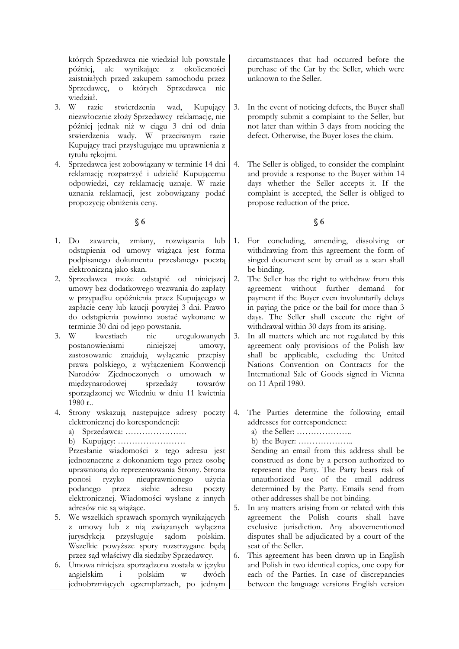których Sprzedawca nie wiedział lub powstałe później, ale wynikające z okoliczności zaistniałych przed zakupem samochodu przez Sprzedawcę, o których Sprzedawca nie wiedział.

- 3. W razie stwierdzenia wad, Kupujący niezwłocznie złoży Sprzedawcy reklamację, nie później jednak niż w ciągu 3 dni od dnia stwierdzenia wady. W przeciwnym razie Kupujący traci przysługujące mu uprawnienia z tytułu rękojmi.
- 4. Sprzedawca jest zobowiązany w terminie 14 dni reklamację rozpatrzyć i udzielić Kupującemu odpowiedzi, czy reklamację uznaje. W razie uznania reklamacji, jest zobowiązany podać propozycję obniżenia ceny.

## **§ 6**

- 1. Do zawarcia, zmiany, rozwiązania lub odstąpienia od umowy wiążąca jest forma podpisanego dokumentu przesłanego pocztą elektroniczną jako skan.
- 2. Sprzedawca może odstąpić od niniejszej umowy bez dodatkowego wezwania do zapłaty w przypadku opóźnienia przez Kupującego w zapłacie ceny lub kaucji powyżej 3 dni. Prawo do odstąpienia powinno zostać wykonane w terminie 30 dni od jego powstania.
- 3. W kwestiach nie uregulowanych postanowieniami niniejszej umowy, zastosowanie znajdują wyłącznie przepisy prawa polskiego, z wyłączeniem Konwencji Narodów Zjednoczonych o umowach w międzynarodowej sprzedaży towarów sporządzonej we Wiedniu w dniu 11 kwietnia  $1980$  r..
- 4. Strony wskazują następujące adresy poczty elektronicznej do korespondencji:
	- a) Sprzedawca: ………………….
	- b) Kupujący: ……………………

Przesłanie wiadomości z tego adresu jest jednoznaczne z dokonaniem tego przez osobę uprawnioną do reprezentowania Strony. Strona ponosi ryzyko nieuprawnionego użycia podanego przez siebie adresu poczty elektronicznej. Wiadomości wysłane z innych adresów nie są wiążące.

- 5. We wszelkich sprawach spornych wynikających z umowy lub z nią związanych wyłączna jurysdykcja przysługuje sądom polskim. Wszelkie powyższe spory rozstrzygane będą przez sąd właściwy dla siedziby Sprzedawcy.
- 6. Umowa niniejsza sporządzona została w języku angielskim i polskim w dwóch jednobrzmiących egzemplarzach, po jednym

circumstances that had occurred before the purchase of the Car by the Seller, which were unknown to the Seller.

- 3. In the event of noticing defects, the Buyer shall promptly submit a complaint to the Seller, but not later than within 3 days from noticing the defect. Otherwise, the Buyer loses the claim.
- 4. The Seller is obliged, to consider the complaint and provide a response to the Buyer within 14 days whether the Seller accepts it. If the complaint is accepted, the Seller is obliged to propose reduction of the price.

## **§ 6**

- 1. For concluding, amending, dissolving or withdrawing from this agreement the form of singed document sent by email as a scan shall be binding.
- 2. The Seller has the right to withdraw from this agreement without further demand for payment if the Buyer even involuntarily delays in paying the price or the bail for more than 3 days. The Seller shall execute the right of withdrawal within 30 days from its arising.
- 3. In all matters which are not regulated by this agreement only provisions of the Polish law shall be applicable, excluding the United Nations Convention on Contracts for the International Sale of Goods signed in Vienna on 11 April 1980.
- 4. The Parties determine the following email addresses for correspondence:
	- a) the Seller: ………………..

b) the Buyer: ………………..

Sending an email from this address shall be construed as done by a person authorized to represent the Party. The Party bears risk of unauthorized use of the email address determined by the Party. Emails send from other addresses shall be not binding.

- 5. In any matters arising from or related with this agreement the Polish courts shall have exclusive jurisdiction. Any abovementioned disputes shall be adjudicated by a court of the seat of the Seller.
- 6. This agreement has been drawn up in English and Polish in two identical copies, one copy for each of the Parties. In case of discrepancies between the language versions English version